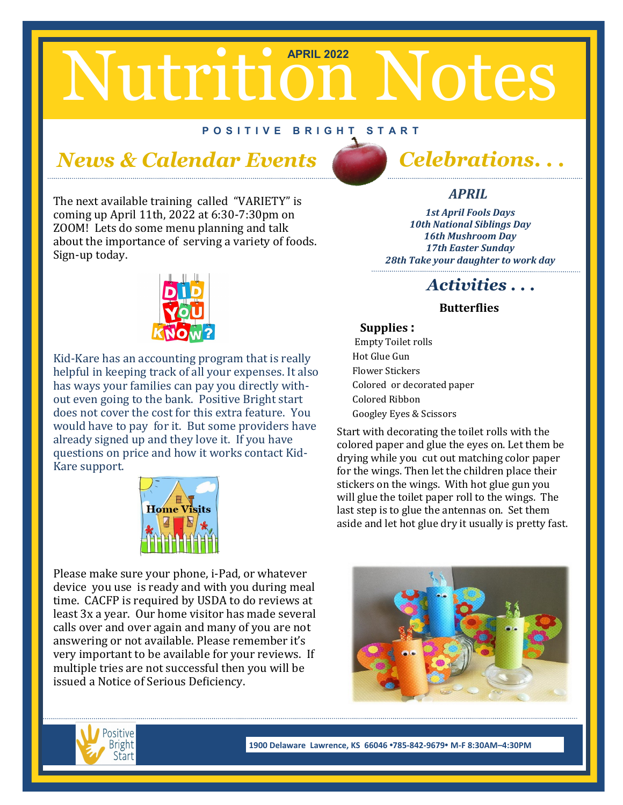# Nutrition Notes

#### **P O S I T I V E B R I G H T S T A R T**

#### *News & Calendar Events Celebrations. . .*

The next available training called "VARIETY" is coming up April 11th, 2022 at 6:30-7:30pm on ZOOM! Lets do some menu planning and talk about the importance of serving a variety of foods. Sign-up today.



Kid-Kare has an accounting program that is really helpful in keeping track of all your expenses. It also has ways your families can pay you directly without even going to the bank. Positive Bright start does not cover the cost for this extra feature. You would have to pay for it. But some providers have already signed up and they love it. If you have questions on price and how it works contact Kid-Kare support.



Please make sure your phone, i-Pad, or whatever device you use is ready and with you during meal time. CACFP is required by USDA to do reviews at least 3x a year. Our home visitor has made several calls over and over again and many of you are not answering or not available. Please remember it's very important to be available for your reviews. If multiple tries are not successful then you will be issued a Notice of Serious Deficiency.



#### *APRIL*

*1st April Fools Days 10th National Siblings Day 16th Mushroom Day 17th Easter Sunday 28th Take your daughter to work day* 

#### *Activities . . .*

#### **Butterflies**

#### **Supplies :**

 Empty Toilet rolls Hot Glue Gun Flower Stickers Colored or decorated paper Colored Ribbon Googley Eyes & Scissors

Start with decorating the toilet rolls with the colored paper and glue the eyes on. Let them be drying while you cut out matching color paper for the wings. Then let the children place their stickers on the wings. With hot glue gun you will glue the toilet paper roll to the wings. The last step is to glue the antennas on. Set them aside and let hot glue dry it usually is pretty fast.